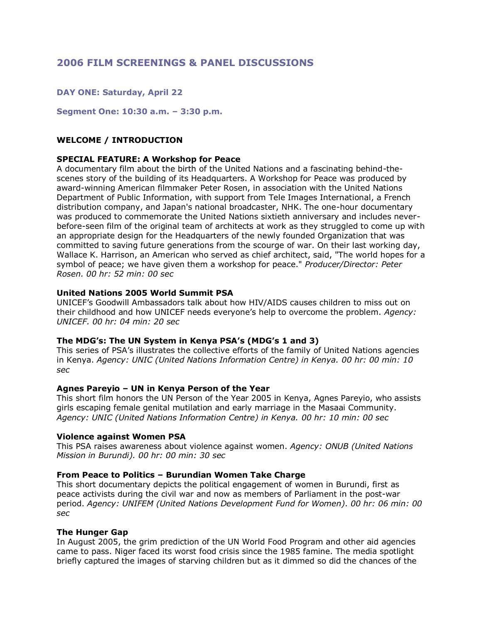# **2006 FILM SCREENINGS & PANEL DISCUSSIONS**

## **DAY ONE: Saturday, April 22**

**Segment One: 10:30 a.m. – 3:30 p.m.**

## **WELCOME / INTRODUCTION**

#### **SPECIAL FEATURE: A Workshop for Peace**

A documentary film about the birth of the United Nations and a fascinating behind-thescenes story of the building of its Headquarters. A Workshop for Peace was produced by award-winning American filmmaker Peter Rosen, in association with the United Nations Department of Public Information, with support from Tele Images International, a French distribution company, and Japan's national broadcaster, NHK. The one-hour documentary was produced to commemorate the United Nations sixtieth anniversary and includes neverbefore-seen film of the original team of architects at work as they struggled to come up with an appropriate design for the Headquarters of the newly founded Organization that was committed to saving future generations from the scourge of war. On their last working day, Wallace K. Harrison, an American who served as chief architect, said, "The world hopes for a symbol of peace; we have given them a workshop for peace." *Producer/Director: Peter Rosen. 00 hr: 52 min: 00 sec*

#### **United Nations 2005 World Summit PSA**

UNICEF's Goodwill Ambassadors talk about how HIV/AIDS causes children to miss out on their childhood and how UNICEF needs everyone's help to overcome the problem. *Agency: UNICEF. 00 hr: 04 min: 20 sec*

#### **The MDG's: The UN System in Kenya PSA's (MDG's 1 and 3)**

This series of PSA's illustrates the collective efforts of the family of United Nations agencies in Kenya. *Agency: UNIC (United Nations Information Centre) in Kenya. 00 hr: 00 min: 10 sec*

#### **Agnes Pareyio – UN in Kenya Person of the Year**

This short film honors the UN Person of the Year 2005 in Kenya, Agnes Pareyio, who assists girls escaping female genital mutilation and early marriage in the Masaai Community. *Agency: UNIC (United Nations Information Centre) in Kenya. 00 hr: 10 min: 00 sec*

#### **Violence against Women PSA**

This PSA raises awareness about violence against women. *Agency: ONUB (United Nations Mission in Burundi). 00 hr: 00 min: 30 sec*

#### **From Peace to Politics – Burundian Women Take Charge**

This short documentary depicts the political engagement of women in Burundi, first as peace activists during the civil war and now as members of Parliament in the post-war period. *Agency: UNIFEM (United Nations Development Fund for Women). 00 hr: 06 min: 00 sec*

#### **The Hunger Gap**

In August 2005, the grim prediction of the UN World Food Program and other aid agencies came to pass. Niger faced its worst food crisis since the 1985 famine. The media spotlight briefly captured the images of starving children but as it dimmed so did the chances of the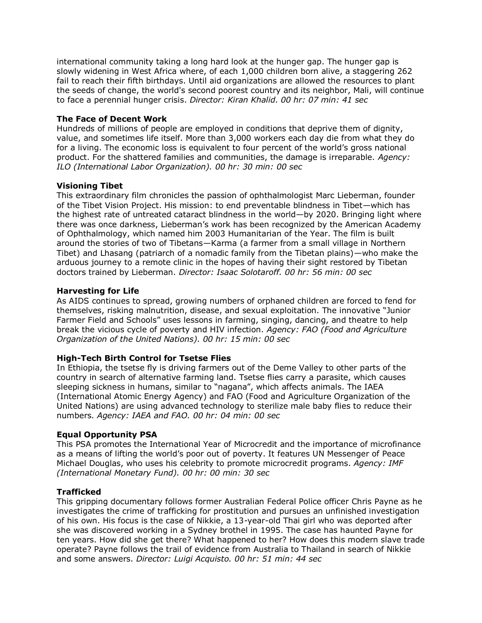international community taking a long hard look at the hunger gap. The hunger gap is slowly widening in West Africa where, of each 1,000 children born alive, a staggering 262 fail to reach their fifth birthdays. Until aid organizations are allowed the resources to plant the seeds of change, the world's second poorest country and its neighbor, Mali, will continue to face a perennial hunger crisis. *Director: Kiran Khalid. 00 hr: 07 min: 41 sec*

## **The Face of Decent Work**

Hundreds of millions of people are employed in conditions that deprive them of dignity, value, and sometimes life itself. More than 3,000 workers each day die from what they do for a living. The economic loss is equivalent to four percent of the world's gross national product. For the shattered families and communities, the damage is irreparable. *Agency: ILO (International Labor Organization). 00 hr: 30 min: 00 sec*

## **Visioning Tibet**

This extraordinary film chronicles the passion of ophthalmologist Marc Lieberman, founder of the Tibet Vision Project. His mission: to end preventable blindness in Tibet—which has the highest rate of untreated cataract blindness in the world—by 2020. Bringing light where there was once darkness, Lieberman's work has been recognized by the American Academy of Ophthalmology, which named him 2003 Humanitarian of the Year. The film is built around the stories of two of Tibetans—Karma (a farmer from a small village in Northern Tibet) and Lhasang (patriarch of a nomadic family from the Tibetan plains)—who make the arduous journey to a remote clinic in the hopes of having their sight restored by Tibetan doctors trained by Lieberman. *Director: Isaac Solotaroff. 00 hr: 56 min: 00 sec*

## **Harvesting for Life**

As AIDS continues to spread, growing numbers of orphaned children are forced to fend for themselves, risking malnutrition, disease, and sexual exploitation. The innovative "Junior Farmer Field and Schools" uses lessons in farming, singing, dancing, and theatre to help break the vicious cycle of poverty and HIV infection. *Agency: FAO (Food and Agriculture Organization of the United Nations). 00 hr: 15 min: 00 sec*

## **High-Tech Birth Control for Tsetse Flies**

In Ethiopia, the tsetse fly is driving farmers out of the Deme Valley to other parts of the country in search of alternative farming land. Tsetse flies carry a parasite, which causes sleeping sickness in humans, similar to "nagana", which affects animals. The IAEA (International Atomic Energy Agency) and FAO (Food and Agriculture Organization of the United Nations) are using advanced technology to sterilize male baby flies to reduce their numbers*. Agency: IAEA and FAO. 00 hr: 04 min: 00 sec*

## **Equal Opportunity PSA**

This PSA promotes the International Year of Microcredit and the importance of microfinance as a means of lifting the world's poor out of poverty. It features UN Messenger of Peace Michael Douglas, who uses his celebrity to promote microcredit programs. *Agency: IMF (International Monetary Fund). 00 hr: 00 min: 30 sec*

## **Trafficked**

This gripping documentary follows former Australian Federal Police officer Chris Payne as he investigates the crime of trafficking for prostitution and pursues an unfinished investigation of his own. His focus is the case of Nikkie, a 13-year-old Thai girl who was deported after she was discovered working in a Sydney brothel in 1995. The case has haunted Payne for ten years. How did she get there? What happened to her? How does this modern slave trade operate? Payne follows the trail of evidence from Australia to Thailand in search of Nikkie and some answers. *Director: Luigi Acquisto. 00 hr: 51 min: 44 sec*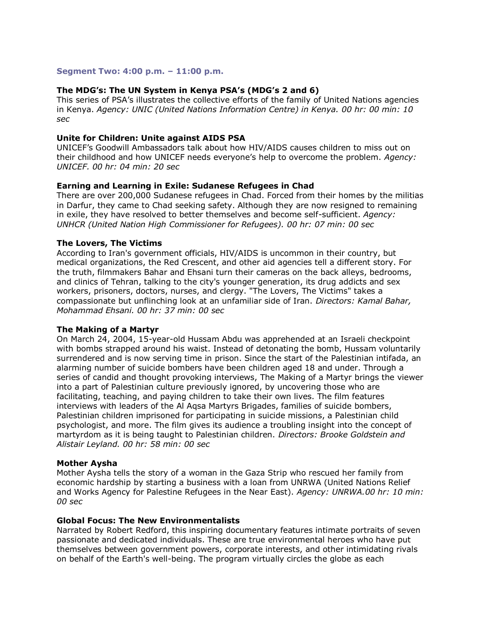#### **Segment Two: 4:00 p.m. – 11:00 p.m.**

#### **The MDG's: The UN System in Kenya PSA's (MDG's 2 and 6)**

This series of PSA's illustrates the collective efforts of the family of United Nations agencies in Kenya. *Agency: UNIC (United Nations Information Centre) in Kenya. 00 hr: 00 min: 10 sec*

## **Unite for Children: Unite against AIDS PSA**

UNICEF's Goodwill Ambassadors talk about how HIV/AIDS causes children to miss out on their childhood and how UNICEF needs everyone's help to overcome the problem. *Agency: UNICEF. 00 hr: 04 min: 20 sec*

#### **Earning and Learning in Exile: Sudanese Refugees in Chad**

There are over 200,000 Sudanese refugees in Chad. Forced from their homes by the militias in Darfur, they came to Chad seeking safety. Although they are now resigned to remaining in exile, they have resolved to better themselves and become self-sufficient. *Agency: UNHCR (United Nation High Commissioner for Refugees). 00 hr: 07 min: 00 sec*

#### **The Lovers, The Victims**

According to Iran's government officials, HIV/AIDS is uncommon in their country, but medical organizations, the Red Crescent, and other aid agencies tell a different story. For the truth, filmmakers Bahar and Ehsani turn their cameras on the back alleys, bedrooms, and clinics of Tehran, talking to the city's younger generation, its drug addicts and sex workers, prisoners, doctors, nurses, and clergy. "The Lovers, The Victims" takes a compassionate but unflinching look at an unfamiliar side of Iran. *Directors: Kamal Bahar, Mohammad Ehsani. 00 hr: 37 min: 00 sec* 

#### **The Making of a Martyr**

On March 24, 2004, 15-year-old Hussam Abdu was apprehended at an Israeli checkpoint with bombs strapped around his waist. Instead of detonating the bomb, Hussam voluntarily surrendered and is now serving time in prison. Since the start of the Palestinian intifada, an alarming number of suicide bombers have been children aged 18 and under. Through a series of candid and thought provoking interviews, The Making of a Martyr brings the viewer into a part of Palestinian culture previously ignored, by uncovering those who are facilitating, teaching, and paying children to take their own lives. The film features interviews with leaders of the Al Aqsa Martyrs Brigades, families of suicide bombers, Palestinian children imprisoned for participating in suicide missions, a Palestinian child psychologist, and more. The film gives its audience a troubling insight into the concept of martyrdom as it is being taught to Palestinian children. *Directors: Brooke Goldstein and Alistair Leyland. 00 hr: 58 min: 00 sec*

#### **Mother Aysha**

Mother Aysha tells the story of a woman in the Gaza Strip who rescued her family from economic hardship by starting a business with a loan from UNRWA (United Nations Relief and Works Agency for Palestine Refugees in the Near East). *Agency: UNRWA.00 hr: 10 min: 00 sec*

#### **Global Focus: The New Environmentalists**

Narrated by Robert Redford, this inspiring documentary features intimate portraits of seven passionate and dedicated individuals. These are true environmental heroes who have put themselves between government powers, corporate interests, and other intimidating rivals on behalf of the Earth's well-being. The program virtually circles the globe as each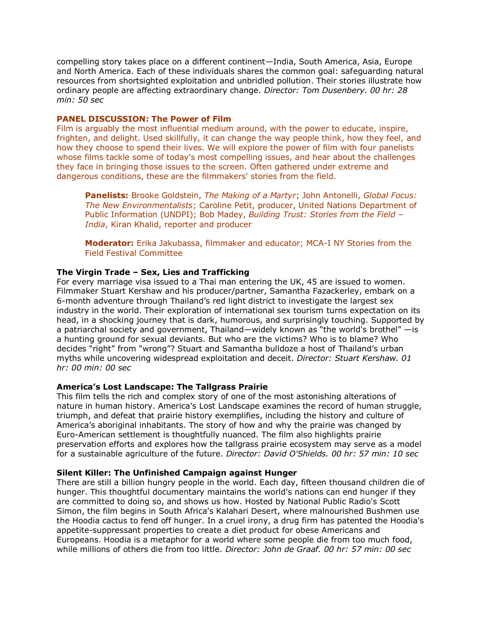compelling story takes place on a different continent—India, South America, Asia, Europe and North America. Each of these individuals shares the common goal: safeguarding natural resources from shortsighted exploitation and unbridled pollution. Their stories illustrate how ordinary people are affecting extraordinary change. *Director: Tom Dusenbery. 00 hr: 28 min: 50 sec*

#### **PANEL DISCUSSION: The Power of Film**

Film is arguably the most influential medium around, with the power to educate, inspire, frighten, and delight. Used skillfully, it can change the way people think, how they feel, and how they choose to spend their lives. We will explore the power of film with four panelists whose films tackle some of today's most compelling issues, and hear about the challenges they face in bringing those issues to the screen. Often gathered under extreme and dangerous conditions, these are the filmmakers' stories from the field.

**Panelists:** Brooke Goldstein, *The Making of a Martyr*; John Antonelli, *Global Focus: The New Environmentalists*; Caroline Petit, producer, United Nations Department of Public Information (UNDPI); Bob Madey, *Building Trust: Stories from the Field – India*, Kiran Khalid, reporter and producer

**Moderator:** Erika Jakubassa, filmmaker and educator; MCA-I NY Stories from the Field Festival Committee

## **The Virgin Trade – Sex, Lies and Trafficking**

For every marriage visa issued to a Thai man entering the UK, 45 are issued to women. Filmmaker Stuart Kershaw and his producer/partner, Samantha Fazackerley, embark on a 6-month adventure through Thailand's red light district to investigate the largest sex industry in the world. Their exploration of international sex tourism turns expectation on its head, in a shocking journey that is dark, humorous, and surprisingly touching. Supported by a patriarchal society and government, Thailand—widely known as "the world's brothel" —is a hunting ground for sexual deviants. But who are the victims? Who is to blame? Who decides "right" from "wrong"? Stuart and Samantha bulldoze a host of Thailand's urban myths while uncovering widespread exploitation and deceit. *Director: Stuart Kershaw. 01 hr: 00 min: 00 sec*

#### **America's Lost Landscape: The Tallgrass Prairie**

This film tells the rich and complex story of one of the most astonishing alterations of nature in human history. America's Lost Landscape examines the record of human struggle, triumph, and defeat that prairie history exemplifies, including the history and culture of America's aboriginal inhabitants. The story of how and why the prairie was changed by Euro-American settlement is thoughtfully nuanced. The film also highlights prairie preservation efforts and explores how the tallgrass prairie ecosystem may serve as a model for a sustainable agriculture of the future. *Director: David O'Shields. 00 hr: 57 min: 10 sec*

#### **Silent Killer: The Unfinished Campaign against Hunger**

There are still a billion hungry people in the world. Each day, fifteen thousand children die of hunger. This thoughtful documentary maintains the world's nations can end hunger if they are committed to doing so, and shows us how. Hosted by National Public Radio's Scott Simon, the film begins in South Africa's Kalahari Desert, where malnourished Bushmen use the Hoodia cactus to fend off hunger. In a cruel irony, a drug firm has patented the Hoodia's appetite-suppressant properties to create a diet product for obese Americans and Europeans. Hoodia is a metaphor for a world where some people die from too much food, while millions of others die from too little. *Director: John de Graaf. 00 hr: 57 min: 00 sec*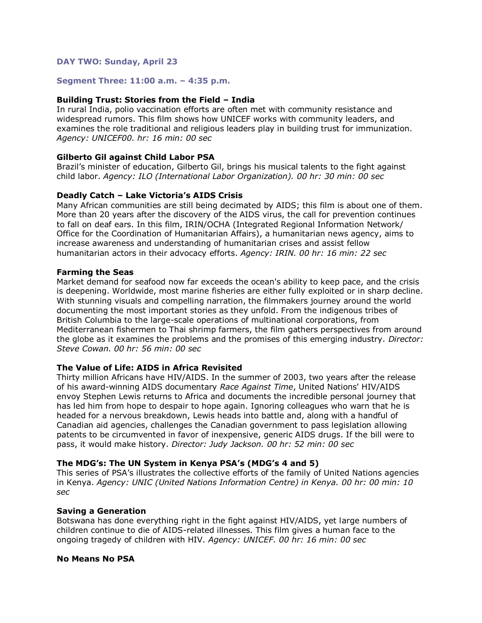## **DAY TWO: Sunday, April 23**

#### **Segment Three: 11:00 a.m. – 4:35 p.m.**

#### **Building Trust: Stories from the Field – India**

In rural India, polio vaccination efforts are often met with community resistance and widespread rumors. This film shows how UNICEF works with community leaders, and examines the role traditional and religious leaders play in building trust for immunization. *Agency: UNICEF00. hr: 16 min: 00 sec*

#### **Gilberto Gil against Child Labor PSA**

Brazil's minister of education, Gilberto Gil, brings his musical talents to the fight against child labor. *Agency: ILO (International Labor Organization). 00 hr: 30 min: 00 sec*

#### **Deadly Catch – Lake Victoria's AIDS Crisis**

Many African communities are still being decimated by AIDS; this film is about one of them. More than 20 years after the discovery of the AIDS virus, the call for prevention continues to fall on deaf ears. In this film, IRIN/OCHA (Integrated Regional Information Network/ Office for the Coordination of Humanitarian Affairs), a humanitarian news agency, aims to increase awareness and understanding of humanitarian crises and assist fellow humanitarian actors in their advocacy efforts. *Agency: IRIN. 00 hr: 16 min: 22 sec*

#### **Farming the Seas**

Market demand for seafood now far exceeds the ocean's ability to keep pace, and the crisis is deepening. Worldwide, most marine fisheries are either fully exploited or in sharp decline. With stunning visuals and compelling narration, the filmmakers journey around the world documenting the most important stories as they unfold. From the indigenous tribes of British Columbia to the large-scale operations of multinational corporations, from Mediterranean fishermen to Thai shrimp farmers, the film gathers perspectives from around the globe as it examines the problems and the promises of this emerging industry. *Director: Steve Cowan. 00 hr: 56 min: 00 sec*

## **The Value of Life: AIDS in Africa Revisited**

Thirty million Africans have HIV/AIDS. In the summer of 2003, two years after the release of his award-winning AIDS documentary *Race Against Time*, United Nations' HIV/AIDS envoy Stephen Lewis returns to Africa and documents the incredible personal journey that has led him from hope to despair to hope again. Ignoring colleagues who warn that he is headed for a nervous breakdown, Lewis heads into battle and, along with a handful of Canadian aid agencies, challenges the Canadian government to pass legislation allowing patents to be circumvented in favor of inexpensive, generic AIDS drugs. If the bill were to pass, it would make history. *Director: Judy Jackson. 00 hr: 52 min: 00 sec*

## **The MDG's: The UN System in Kenya PSA's (MDG's 4 and 5)**

This series of PSA's illustrates the collective efforts of the family of United Nations agencies in Kenya. *Agency: UNIC (United Nations Information Centre) in Kenya. 00 hr: 00 min: 10 sec*

#### **Saving a Generation**

Botswana has done everything right in the fight against HIV/AIDS, yet large numbers of children continue to die of AIDS-related illnesses. This film gives a human face to the ongoing tragedy of children with HIV. *Agency: UNICEF. 00 hr: 16 min: 00 sec*

#### **No Means No PSA**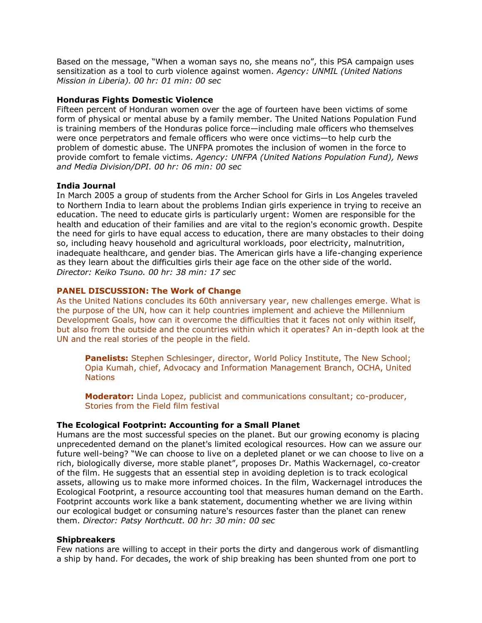Based on the message, "When a woman says no, she means no", this PSA campaign uses sensitization as a tool to curb violence against women. *Agency: UNMIL (United Nations Mission in Liberia). 00 hr: 01 min: 00 sec*

## **Honduras Fights Domestic Violence**

Fifteen percent of Honduran women over the age of fourteen have been victims of some form of physical or mental abuse by a family member. The United Nations Population Fund is training members of the Honduras police force—including male officers who themselves were once perpetrators and female officers who were once victims—to help curb the problem of domestic abuse. The UNFPA promotes the inclusion of women in the force to provide comfort to female victims. *Agency: UNFPA (United Nations Population Fund), News and Media Division/DPI. 00 hr: 06 min: 00 sec*

## **India Journal**

In March 2005 a group of students from the Archer School for Girls in Los Angeles traveled to Northern India to learn about the problems Indian girls experience in trying to receive an education. The need to educate girls is particularly urgent: Women are responsible for the health and education of their families and are vital to the region's economic growth. Despite the need for girls to have equal access to education, there are many obstacles to their doing so, including heavy household and agricultural workloads, poor electricity, malnutrition, inadequate healthcare, and gender bias. The American girls have a life-changing experience as they learn about the difficulties girls their age face on the other side of the world. *Director: Keiko Tsuno. 00 hr: 38 min: 17 sec*

## **PANEL DISCUSSION: The Work of Change**

As the United Nations concludes its 60th anniversary year, new challenges emerge. What is the purpose of the UN, how can it help countries implement and achieve the Millennium Development Goals, how can it overcome the difficulties that it faces not only within itself, but also from the outside and the countries within which it operates? An in-depth look at the UN and the real stories of the people in the field.

**Panelists:** Stephen Schlesinger, director, World Policy Institute, The New School; Opia Kumah, chief, Advocacy and Information Management Branch, OCHA, United **Nations** 

**Moderator:** Linda Lopez, publicist and communications consultant; co-producer, Stories from the Field film festival

## **The Ecological Footprint: Accounting for a Small Planet**

Humans are the most successful species on the planet. But our growing economy is placing unprecedented demand on the planet's limited ecological resources. How can we assure our future well-being? "We can choose to live on a depleted planet or we can choose to live on a rich, biologically diverse, more stable planet", proposes Dr. Mathis Wackernagel, co-creator of the film. He suggests that an essential step in avoiding depletion is to track ecological assets, allowing us to make more informed choices. In the film, Wackernagel introduces the Ecological Footprint, a resource accounting tool that measures human demand on the Earth. Footprint accounts work like a bank statement, documenting whether we are living within our ecological budget or consuming nature's resources faster than the planet can renew them. *Director: Patsy Northcutt. 00 hr: 30 min: 00 sec*

## **Shipbreakers**

Few nations are willing to accept in their ports the dirty and dangerous work of dismantling a ship by hand. For decades, the work of ship breaking has been shunted from one port to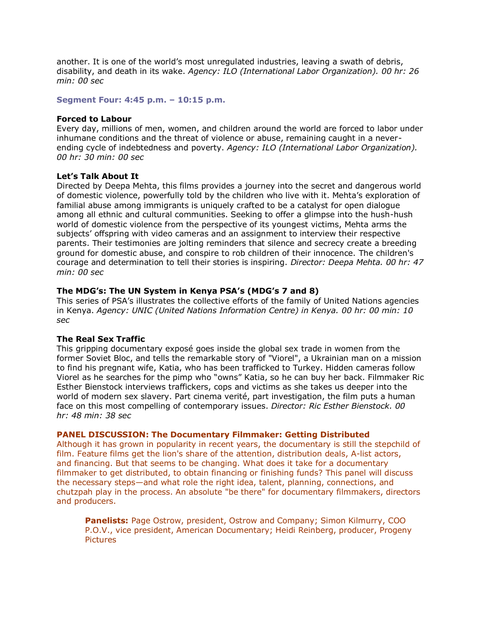another. It is one of the world's most unregulated industries, leaving a swath of debris, disability, and death in its wake. *Agency: ILO (International Labor Organization). 00 hr: 26 min: 00 sec*

#### **Segment Four: 4:45 p.m. – 10:15 p.m.**

#### **Forced to Labour**

Every day, millions of men, women, and children around the world are forced to labor under inhumane conditions and the threat of violence or abuse, remaining caught in a neverending cycle of indebtedness and poverty. *Agency: ILO (International Labor Organization). 00 hr: 30 min: 00 sec*

#### **Let's Talk About It**

Directed by Deepa Mehta, this films provides a journey into the secret and dangerous world of domestic violence, powerfully told by the children who live with it. Mehta's exploration of familial abuse among immigrants is uniquely crafted to be a catalyst for open dialogue among all ethnic and cultural communities. Seeking to offer a glimpse into the hush-hush world of domestic violence from the perspective of its youngest victims, Mehta arms the subjects' offspring with video cameras and an assignment to interview their respective parents. Their testimonies are jolting reminders that silence and secrecy create a breeding ground for domestic abuse, and conspire to rob children of their innocence. The children's courage and determination to tell their stories is inspiring. *Director: Deepa Mehta. 00 hr: 47 min: 00 sec*

## **The MDG's: The UN System in Kenya PSA's (MDG's 7 and 8)**

This series of PSA's illustrates the collective efforts of the family of United Nations agencies in Kenya. *Agency: UNIC (United Nations Information Centre) in Kenya. 00 hr: 00 min: 10 sec*

## **The Real Sex Traffic**

This gripping documentary exposé goes inside the global sex trade in women from the former Soviet Bloc, and tells the remarkable story of "Viorel", a Ukrainian man on a mission to find his pregnant wife, Katia, who has been trafficked to Turkey. Hidden cameras follow Viorel as he searches for the pimp who "owns" Katia, so he can buy her back. Filmmaker Ric Esther Bienstock interviews traffickers, cops and victims as she takes us deeper into the world of modern sex slavery. Part cinema verité, part investigation, the film puts a human face on this most compelling of contemporary issues. *Director: Ric Esther Bienstock. 00 hr: 48 min: 38 sec*

#### **PANEL DISCUSSION: The Documentary Filmmaker: Getting Distributed**

Although it has grown in popularity in recent years, the documentary is still the stepchild of film. Feature films get the lion's share of the attention, distribution deals, A-list actors, and financing. But that seems to be changing. What does it take for a documentary filmmaker to get distributed, to obtain financing or finishing funds? This panel will discuss the necessary steps—and what role the right idea, talent, planning, connections, and chutzpah play in the process. An absolute "be there" for documentary filmmakers, directors and producers.

**Panelists:** Page Ostrow, president, Ostrow and Company; Simon Kilmurry, COO P.O.V., vice president, American Documentary; Heidi Reinberg, producer, Progeny **Pictures**